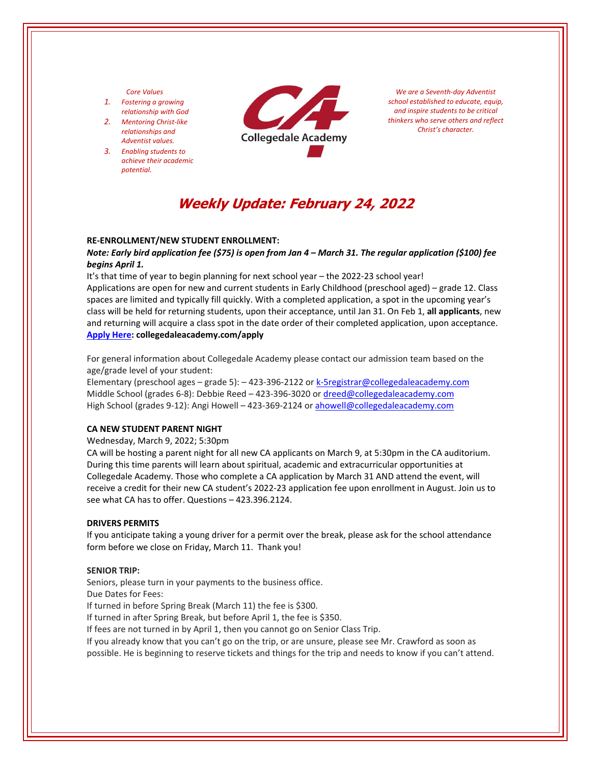## *Core Values*

- *1. Fostering a growing relationship with God*
- *2. Mentoring Christ‐like relationships and Adventist values.*
- *3. Enabling students to achieve their academic potential.*



*We are a Seventh‐day Adventist school established to educate, equip, and inspire students to be critical thinkers who serve others and reflect Christ's character.*

# **Weekly Update: February 24, 2022**

#### **RE‐ENROLLMENT/NEW STUDENT ENROLLMENT:**

Note: Early bird application fee (\$75) is open from Jan 4 – March 31. The regular application (\$100) fee *begins April 1.*

It's that time of year to begin planning for next school year – the 2022‐23 school year! Applications are open for new and current students in Early Childhood (preschool aged) – grade 12. Class spaces are limited and typically fill quickly. With a completed application, a spot in the upcoming year's class will be held for returning students, upon their acceptance, until Jan 31. On Feb 1, **all applicants**, new and returning will acquire a class spot in the date order of their completed application, upon acceptance. **[Apply](https://www.collegedaleacademy.com/apply/) Here: collegedaleacademy.com/apply**

For general information about Collegedale Academy please contact our admission team based on the age/grade level of your student:

Elementary (preschool ages – grade 5): – 423‐396‐2122 or k‐5registrar@collegedaleacademy.com Middle School (grades 6‐8): Debbie Reed – 423‐396‐3020 or dreed@collegedaleacademy.com High School (grades 9-12): Angi Howell – 423-369-2124 or ahowell@collegedaleacademy.com

#### **CA NEW STUDENT PARENT NIGHT**

Wednesday, March 9, 2022; 5:30pm

CA will be hosting a parent night for all new CA applicants on March 9, at 5:30pm in the CA auditorium. During this time parents will learn about spiritual, academic and extracurricular opportunities at Collegedale Academy. Those who complete a CA application by March 31 AND attend the event, will receive a credit for their new CA student's 2022‐23 application fee upon enrollment in August. Join us to see what CA has to offer. Questions – 423.396.2124.

#### **DRIVERS PERMITS**

If you anticipate taking a young driver for a permit over the break, please ask for the school attendance form before we close on Friday, March 11. Thank you!

#### **SENIOR TRIP:**

Seniors, please turn in your payments to the business office.

Due Dates for Fees:

If turned in before Spring Break (March 11) the fee is \$300.

If turned in after Spring Break, but before April 1, the fee is \$350.

If fees are not turned in by April 1, then you cannot go on Senior Class Trip.

If you already know that you can't go on the trip, or are unsure, please see Mr. Crawford as soon as possible. He is beginning to reserve tickets and things for the trip and needs to know if you can't attend.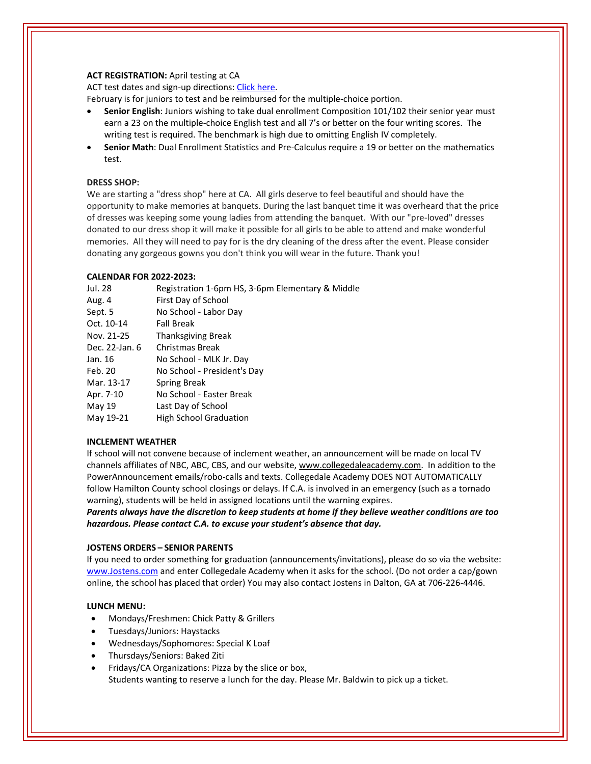# **ACT REGISTRATION:** April testing at CA

ACT test dates and sign-up directions: Click [here.](https://www.act.org/)

February is for juniors to test and be reimbursed for the multiple‐choice portion.

- **Senior English**: Juniors wishing to take dual enrollment Composition 101/102 their senior year must earn a 23 on the multiple-choice English test and all 7's or better on the four writing scores. The writing test is required. The benchmark is high due to omitting English IV completely.
- **Senior Math**: Dual Enrollment Statistics and Pre‐Calculus require a 19 or better on the mathematics test.

# **DRESS SHOP:**

We are starting a "dress shop" here at CA. All girls deserve to feel beautiful and should have the opportunity to make memories at banquets. During the last banquet time it was overheard that the price of dresses was keeping some young ladies from attending the banquet. With our "pre‐loved" dresses donated to our dress shop it will make it possible for all girls to be able to attend and make wonderful memories. All they will need to pay for is the dry cleaning of the dress after the event. Please consider donating any gorgeous gowns you don't think you will wear in the future. Thank you!

# **CALENDAR FOR 2022‐2023:**

| Jul. 28        | Registration 1-6pm HS, 3-6pm Elementary & Middle |
|----------------|--------------------------------------------------|
| Aug. 4         | First Day of School                              |
| Sept. 5        | No School - Labor Day                            |
| Oct. 10-14     | <b>Fall Break</b>                                |
| Nov. 21-25     | <b>Thanksgiving Break</b>                        |
| Dec. 22-Jan. 6 | Christmas Break                                  |
| Jan. 16        | No School - MLK Jr. Day                          |
| Feb. 20        | No School - President's Day                      |
| Mar. 13-17     | Spring Break                                     |
| Apr. 7-10      | No School - Easter Break                         |
| May 19         | Last Day of School                               |
| May 19-21      | <b>High School Graduation</b>                    |

# **INCLEMENT WEATHER**

If school will not convene because of inclement weather, an announcement will be made on local TV channels affiliates of NBC, ABC, CBS, and our website, www.collegedaleacademy.com. In addition to the PowerAnnouncement emails/robo‐calls and texts. Collegedale Academy DOES NOT AUTOMATICALLY follow Hamilton County school closings or delays. If C.A. is involved in an emergency (such as a tornado warning), students will be held in assigned locations until the warning expires.

*Parents always have the discretion to keep students at home if they believe weather conditions are too hazardous. Please contact C.A. to excuse your student's absence that day.*

# **JOSTENS ORDERS – SENIOR PARENTS**

If you need to order something for graduation (announcements/invitations), please do so via the website: [www.Jostens.com](https://www.jostens.com/) and enter Collegedale Academy when it asks for the school. (Do not order a cap/gown online, the school has placed that order) You may also contact Jostens in Dalton, GA at 706‐226‐4446.

# **LUNCH MENU:**

- Mondays/Freshmen: Chick Patty & Grillers
- Tuesdays/Juniors: Haystacks
- Wednesdays/Sophomores: Special K Loaf
- Thursdays/Seniors: Baked Ziti
- Fridays/CA Organizations: Pizza by the slice or box, Students wanting to reserve a lunch for the day. Please Mr. Baldwin to pick up a ticket.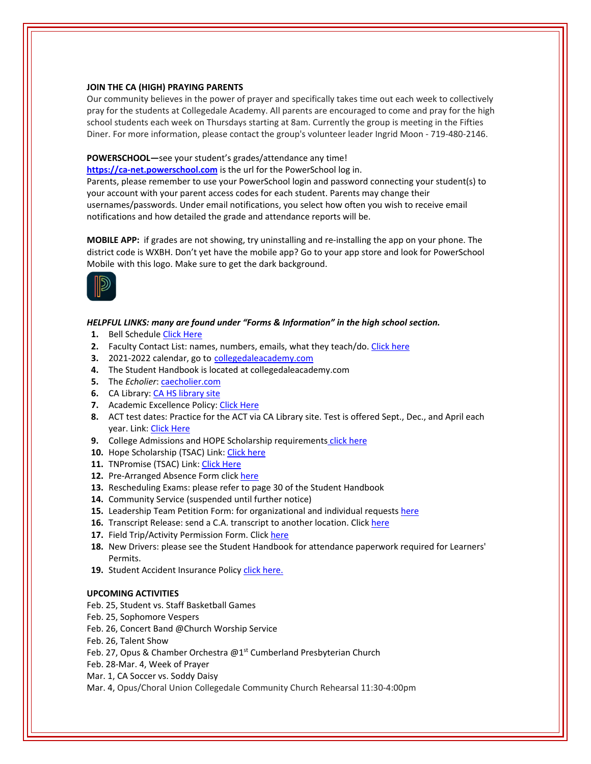## **JOIN THE CA (HIGH) PRAYING PARENTS**

Our community believes in the power of prayer and specifically takes time out each week to collectively pray for the students at Collegedale Academy. All parents are encouraged to come and pray for the high school students each week on Thursdays starting at 8am. Currently the group is meeting in the Fifties Diner. For more information, please contact the group's volunteer leader Ingrid Moon ‐ 719‐480‐2146.

# **POWERSCHOOL—**see your student's grades/attendance any time!

https://ca-[net.powerschool.com](https://ca-net.powerschool.com/public/) is the url for the PowerSchool log in. Parents, please remember to use your PowerSchool login and password connecting your student(s) to your account with your parent access codes for each student. Parents may change their usernames/passwords. Under email notifications, you select how often you wish to receive email notifications and how detailed the grade and attendance reports will be.

**MOBILE APP:** if grades are not showing, try uninstalling and re‐installing the app on your phone. The district code is WXBH. Don't yet have the mobile app? Go to your app store and look for PowerSchool Mobile with this logo. Make sure to get the dark background.



## *HELPFUL LINKS: many are found under "Forms & Information" in the high school section.*

- 1. Bell Schedule Click [Here](https://www.collegedaleacademy.com/wp-content/uploads/2018/08/Bell-Schedule.pdf)
- **2.** Faculty Contact List: names, numbers, emails, what they teach/do. [Click](https://www.collegedaleacademy.com/wp-content/uploads/2021/08/faculty-only-2021-2022.pdf) here
- **3.** 2021‐2022 calendar, go to [collegedaleacademy.com](https://www.collegedaleacademy.com/calendars/)
- **4.** The Student Handbook is located at collegedaleacademy.com
- **5.** The *Echolier*: **[caecholier.com](https://caecholier.com/)**
- **6.** CA Library: CA HS [library](https://southernuniongcc.mlasolutions.com/m5/catalog/(S(hz0dpidx0tfnki5u300iasfj))/default.aspx?installation=CDA) site
- **7.** Academic Excellence Policy: Click [Here](https://www.collegedaleacademy.com/wp-content/uploads/2018/08/Academic-Excellence-Policy.pdf)
- **8.** ACT test dates: Practice for the ACT via CA Library site. Test is offered Sept., Dec., and April each year. Link: Click [Here](https://www.act.org/)
- **9.** College Admissions and HOPE Scholarship requirements click [here](https://www.collegedaleacademy.com/wp-content/uploads/2019/08/TSAC-Scholarship-Info.pdf)
- **10.** Hope Scholarship (TSAC) Link: Click [here](https://www.tn.gov/collegepays/money-for-college/tn-education-lottery-programs/tennessee-hope-scholarship.html)
- **11.** TNPromise (TSAC) Link: Click [Here](https://www.tn.gov/tnpromise.html)
- 12. Pre-Arranged Absence Form click [here](https://www.collegedaleacademy.com/wp-content/uploads/2016/11/Class-Absence-Request-Form-May-2017.pdf)
- **13.** Rescheduling Exams: please refer to page 30 of the Student Handbook
- **14.** Community Service (suspended until further notice)
- **15.** Leadership Team Petition Form: for organizational and individual requests [here](https://www.collegedaleacademy.com/wp-content/uploads/2019/08/Leadership-Petition-SSch.pdf)
- 16. Transcript Release: send a C.A. transcript to another location. Click [here](https://collegedaleacademy.wufoo.com/forms/q1bmc4gg10gftjs/)
- **17.** Field Trip/Activity Permission Form. Click [here](https://www.collegedaleacademy.com/wp-content/uploads/2018/08/Field-Trip-form.pdf)
- **18.** New Drivers: please see the Student Handbook for attendance paperwork required for Learners' Permits.
- 19. Student Accident Insurance Policy *click [here.](https://adventistrisk.org/en-us/insurance/nad/k-12-student-accident)*

# **UPCOMING ACTIVITIES**

- Feb. 25, Student vs. Staff Basketball Games
- Feb. 25, Sophomore Vespers
- Feb. 26, Concert Band @Church Worship Service
- Feb. 26, Talent Show
- Feb. 27, Opus & Chamber Orchestra @1<sup>st</sup> Cumberland Presbyterian Church
- Feb. 28‐Mar. 4, Week of Prayer
- Mar. 1, CA Soccer vs. Soddy Daisy
- Mar. 4, Opus/Choral Union Collegedale Community Church Rehearsal 11:30‐4:00pm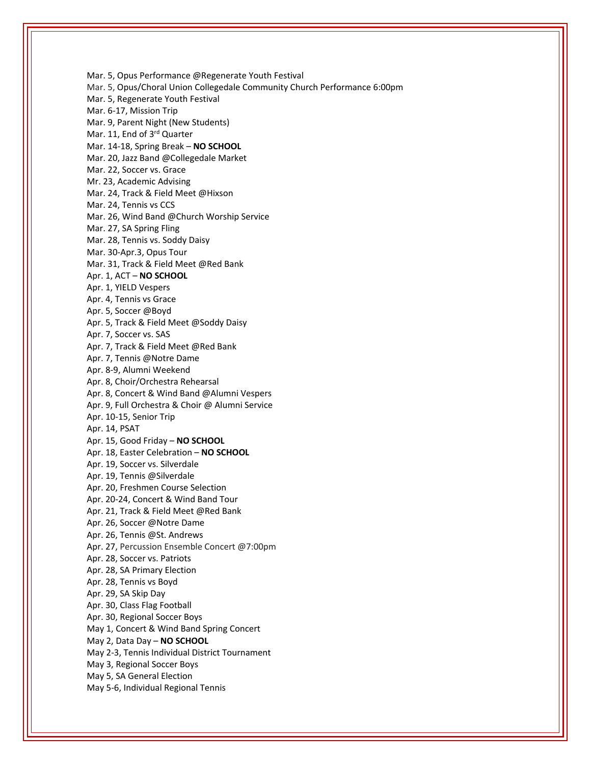Mar. 5, Opus Performance @Regenerate Youth Festival Mar. 5, Opus/Choral Union Collegedale Community Church Performance 6:00pm Mar. 5, Regenerate Youth Festival Mar. 6‐17, Mission Trip Mar. 9, Parent Night (New Students) Mar. 11, End of 3<sup>rd</sup> Quarter Mar. 14‐18, Spring Break – **NO SCHOOL** Mar. 20, Jazz Band @Collegedale Market Mar. 22, Soccer vs. Grace Mr. 23, Academic Advising Mar. 24, Track & Field Meet @Hixson Mar. 24, Tennis vs CCS Mar. 26, Wind Band @Church Worship Service Mar. 27, SA Spring Fling Mar. 28, Tennis vs. Soddy Daisy Mar. 30‐Apr.3, Opus Tour Mar. 31, Track & Field Meet @Red Bank Apr. 1, ACT – **NO SCHOOL** Apr. 1, YIELD Vespers Apr. 4, Tennis vs Grace Apr. 5, Soccer @Boyd Apr. 5, Track & Field Meet @Soddy Daisy Apr. 7, Soccer vs. SAS Apr. 7, Track & Field Meet @Red Bank Apr. 7, Tennis @Notre Dame Apr. 8‐9, Alumni Weekend Apr. 8, Choir/Orchestra Rehearsal Apr. 8, Concert & Wind Band @Alumni Vespers Apr. 9, Full Orchestra & Choir @ Alumni Service Apr. 10‐15, Senior Trip Apr. 14, PSAT Apr. 15, Good Friday – **NO SCHOOL** Apr. 18, Easter Celebration – **NO SCHOOL** Apr. 19, Soccer vs. Silverdale Apr. 19, Tennis @Silverdale Apr. 20, Freshmen Course Selection Apr. 20‐24, Concert & Wind Band Tour Apr. 21, Track & Field Meet @Red Bank Apr. 26, Soccer @Notre Dame Apr. 26, Tennis @St. Andrews Apr. 27, Percussion Ensemble Concert @7:00pm Apr. 28, Soccer vs. Patriots Apr. 28, SA Primary Election Apr. 28, Tennis vs Boyd Apr. 29, SA Skip Day Apr. 30, Class Flag Football Apr. 30, Regional Soccer Boys May 1, Concert & Wind Band Spring Concert May 2, Data Day – **NO SCHOOL** May 2‐3, Tennis Individual District Tournament May 3, Regional Soccer Boys May 5, SA General Election May 5‐6, Individual Regional Tennis